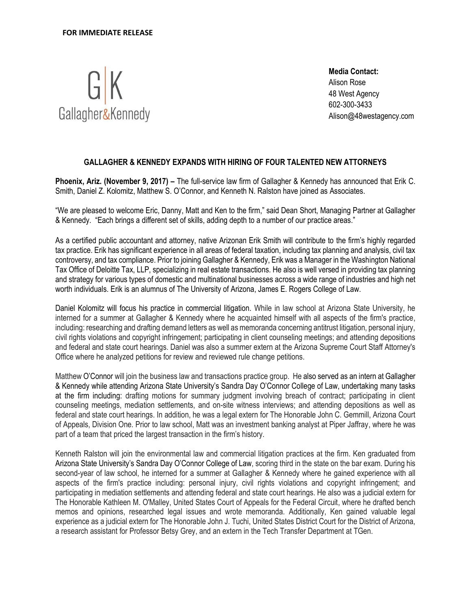

**Media Contact:**  Alison Rose 48 West Agency 602-300-3433 Alison@48westagency.com

## **GALLAGHER & KENNEDY EXPANDS WITH HIRING OF FOUR TALENTED NEW ATTORNEYS**

**Phoenix, Ariz. (November 9, 2017) –** The full-service law firm of Gallagher & Kennedy has announced that Erik C. Smith, Daniel Z. Kolomitz, Matthew S. O'Connor, and Kenneth N. Ralston have joined as Associates.

"We are pleased to welcome Eric, Danny, Matt and Ken to the firm," said Dean Short, Managing Partner at Gallagher & Kennedy. "Each brings a different set of skills, adding depth to a number of our practice areas."

As a certified public accountant and attorney, native Arizonan Erik Smith will contribute to the firm's highly regarded tax practice. Erik has significant experience in all areas of federal taxation, including tax planning and analysis, civil tax controversy, and tax compliance. Prior to joining Gallagher & Kennedy, Erik was a Manager in the Washington National Tax Office of Deloitte Tax, LLP, specializing in real estate transactions. He also is well versed in providing tax planning and strategy for various types of domestic and multinational businesses across a wide range of industries and high net worth individuals. Erik is an alumnus of The University of Arizona, James E. Rogers College of Law.

Daniel Kolomitz will focus his practice in commercial litigation. While in law school at Arizona State University, he interned for a summer at Gallagher & Kennedy where he acquainted himself with all aspects of the firm's practice, including: researching and drafting demand letters as well as memoranda concerning antitrust litigation, personal injury, civil rights violations and copyright infringement; participating in client counseling meetings; and attending depositions and federal and state court hearings. Daniel was also a summer extern at the Arizona Supreme Court Staff Attorney's Office where he analyzed petitions for review and reviewed rule change petitions.

Matthew O'Connor will join the business law and transactions practice group. He also served as an intern at Gallagher & Kennedy while attending Arizona State University's Sandra Day O'Connor College of Law, undertaking many tasks at the firm including: drafting motions for summary judgment involving breach of contract; participating in client counseling meetings, mediation settlements, and on-site witness interviews; and attending depositions as well as federal and state court hearings. In addition, he was a legal extern for The Honorable John C. Gemmill, Arizona Court of Appeals, Division One. Prior to law school, Matt was an investment banking analyst at Piper Jaffray, where he was part of a team that priced the largest transaction in the firm's history.

Kenneth Ralston will join the environmental law and commercial litigation practices at the firm. Ken graduated from Arizona State University's Sandra Day O'Connor College of Law, scoring third in the state on the bar exam. During his second-year of law school, he interned for a summer at Gallagher & Kennedy where he gained experience with all aspects of the firm's practice including: personal injury, civil rights violations and copyright infringement; and participating in mediation settlements and attending federal and state court hearings. He also was a judicial extern for The Honorable Kathleen M. O'Malley, United States Court of Appeals for the Federal Circuit, where he drafted bench memos and opinions, researched legal issues and wrote memoranda. Additionally, Ken gained valuable legal experience as a judicial extern for The Honorable John J. Tuchi, United States District Court for the District of Arizona, a research assistant for Professor Betsy Grey, and an extern in the Tech Transfer Department at TGen.